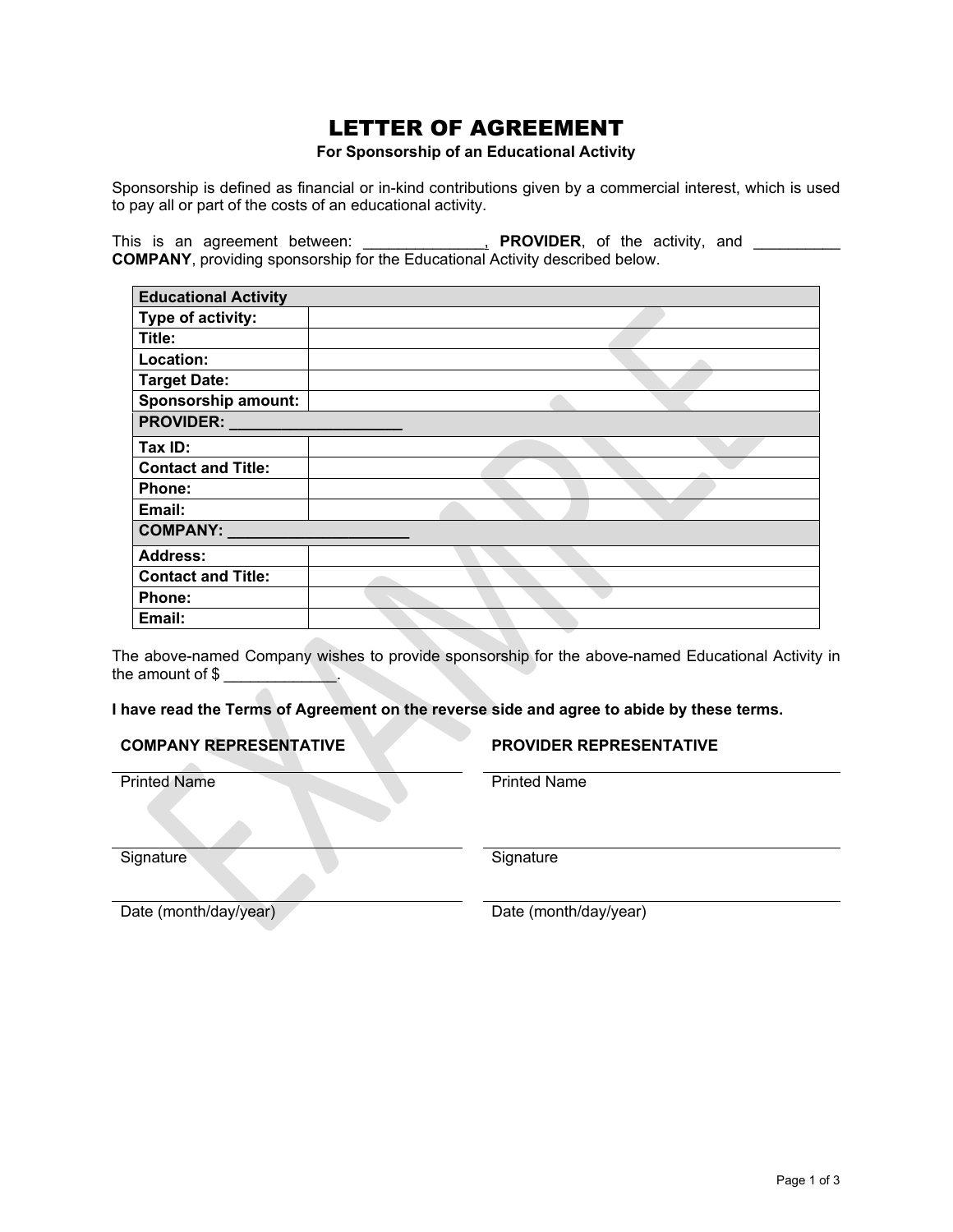## LETTER OF AGREEMENT

#### **For Sponsorship of an Educational Activity**

Sponsorship is defined as financial or in-kind contributions given by a commercial interest, which is used to pay all or part of the costs of an educational activity.

This is an agreement between: \_\_\_\_\_\_\_\_\_\_\_\_\_**, PROVIDER**, of the activity, and \_\_\_\_\_\_\_\_\_ **COMPANY**, providing sponsorship for the Educational Activity described below.

| <b>Educational Activity</b> |  |
|-----------------------------|--|
| Type of activity:           |  |
| Title:                      |  |
| Location:                   |  |
| <b>Target Date:</b>         |  |
| <b>Sponsorship amount:</b>  |  |
| <b>PROVIDER:</b>            |  |
| Tax ID:                     |  |
| <b>Contact and Title:</b>   |  |
| Phone:                      |  |
| Email:                      |  |
| <b>COMPANY:</b>             |  |
| <b>Address:</b>             |  |
| <b>Contact and Title:</b>   |  |
| Phone:                      |  |
| Email:                      |  |

The above-named Company wishes to provide sponsorship for the above-named Educational Activity in the amount of \$

### **I have read the Terms of Agreement on the reverse side and agree to abide by these terms.**

**COMPANY REPRESENTATIVE PROVIDER REPRESENTATIVE**

Printed Name Printed Name

Signature Signature Signature

Date (month/day/year) Date (month/day/year)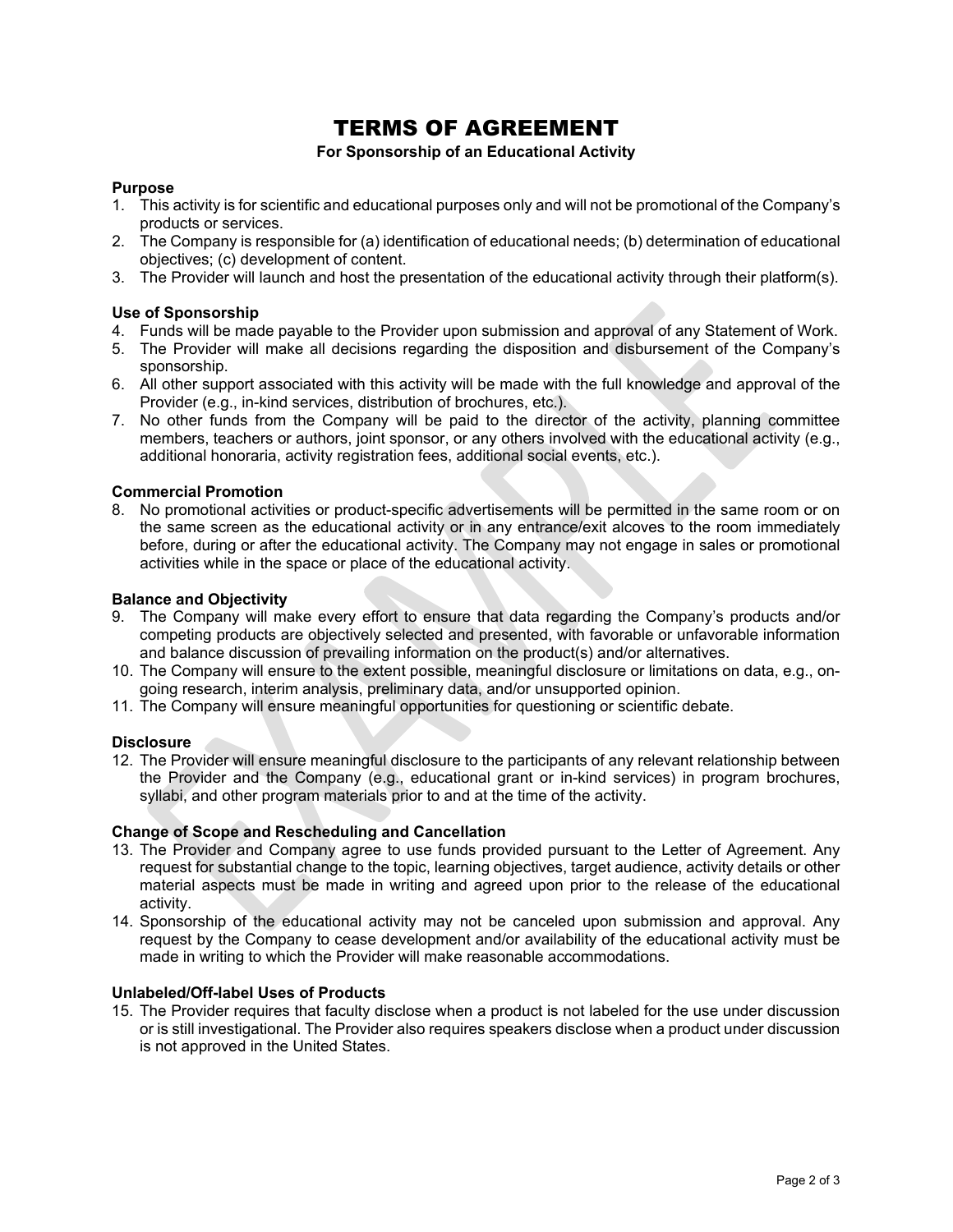# TERMS OF AGREEMENT

#### **For Sponsorship of an Educational Activity**

### **Purpose**

- 1. This activity is for scientific and educational purposes only and will not be promotional of the Company's products or services.
- 2. The Company is responsible for (a) identification of educational needs; (b) determination of educational objectives; (c) development of content.
- 3. The Provider will launch and host the presentation of the educational activity through their platform(s).

### **Use of Sponsorship**

- 4. Funds will be made payable to the Provider upon submission and approval of any Statement of Work.
- 5. The Provider will make all decisions regarding the disposition and disbursement of the Company's sponsorship.
- 6. All other support associated with this activity will be made with the full knowledge and approval of the Provider (e.g., in-kind services, distribution of brochures, etc.).
- 7. No other funds from the Company will be paid to the director of the activity, planning committee members, teachers or authors, joint sponsor, or any others involved with the educational activity (e.g., additional honoraria, activity registration fees, additional social events, etc.).

### **Commercial Promotion**

8. No promotional activities or product-specific advertisements will be permitted in the same room or on the same screen as the educational activity or in any entrance/exit alcoves to the room immediately before, during or after the educational activity. The Company may not engage in sales or promotional activities while in the space or place of the educational activity.

### **Balance and Objectivity**

- 9. The Company will make every effort to ensure that data regarding the Company's products and/or competing products are objectively selected and presented, with favorable or unfavorable information and balance discussion of prevailing information on the product(s) and/or alternatives.
- 10. The Company will ensure to the extent possible, meaningful disclosure or limitations on data, e.g., ongoing research, interim analysis, preliminary data, and/or unsupported opinion.
- 11. The Company will ensure meaningful opportunities for questioning or scientific debate.

#### **Disclosure**

12. The Provider will ensure meaningful disclosure to the participants of any relevant relationship between the Provider and the Company (e.g., educational grant or in-kind services) in program brochures, syllabi, and other program materials prior to and at the time of the activity.

#### **Change of Scope and Rescheduling and Cancellation**

- 13. The Provider and Company agree to use funds provided pursuant to the Letter of Agreement. Any request for substantial change to the topic, learning objectives, target audience, activity details or other material aspects must be made in writing and agreed upon prior to the release of the educational activity.
- 14. Sponsorship of the educational activity may not be canceled upon submission and approval. Any request by the Company to cease development and/or availability of the educational activity must be made in writing to which the Provider will make reasonable accommodations.

### **Unlabeled/Off-label Uses of Products**

15. The Provider requires that faculty disclose when a product is not labeled for the use under discussion or is still investigational. The Provider also requires speakers disclose when a product under discussion is not approved in the United States.